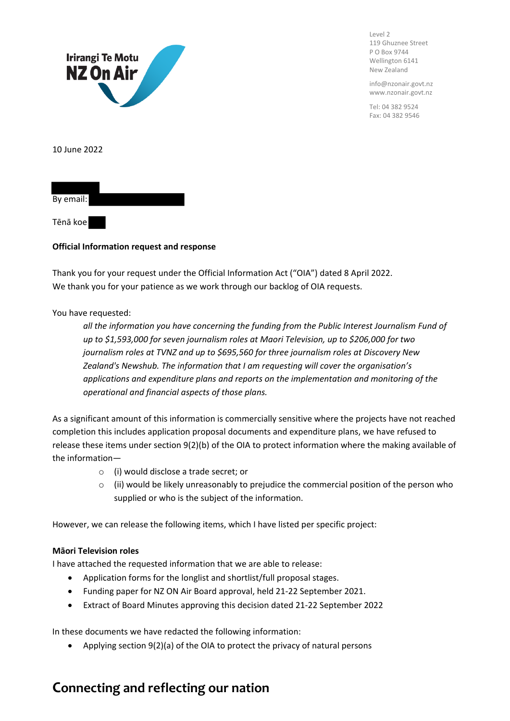

Level 2 119 Ghuznee Street P O Box 9744 Wellington 6141 New Zealand

info@nzonair.govt.nz www.nzonair.govt.nz

Tel: 04 382 9524 Fax: 04 382 9546

10 June 2022



Tēnā koe

#### **Official Information request and response**

Thank you for your request under the Official Information Act ("OIA") dated 8 April 2022. We thank you for your patience as we work through our backlog of OIA requests.

#### You have requested:

*all the information you have concerning the funding from the Public Interest Journalism Fund of up to \$1,593,000 for seven journalism roles at Maori Television, up to \$206,000 for two journalism roles at TVNZ and up to \$695,560 for three journalism roles at Discovery New Zealand's Newshub. The information that I am requesting will cover the organisation's applications and expenditure plans and reports on the implementation and monitoring of the operational and financial aspects of those plans.*

As a significant amount of this information is commercially sensitive where the projects have not reached completion this includes application proposal documents and expenditure plans, we have refused to release these items under section 9(2)(b) of the OIA to protect information where the making available of the information—

- o (i) would disclose a trade secret; or
- $\circ$  (ii) would be likely unreasonably to prejudice the commercial position of the person who supplied or who is the subject of the information.

However, we can release the following items, which I have listed per specific project:

#### **Māori Television roles**

I have attached the requested information that we are able to release:

- Application forms for the longlist and shortlist/full proposal stages.
- Funding paper for NZ ON Air Board approval, held 21-22 September 2021.
- Extract of Board Minutes approving this decision dated 21-22 September 2022

In these documents we have redacted the following information:

• Applying section 9(2)(a) of the OIA to protect the privacy of natural persons

## **Connecting and reflecting our nation**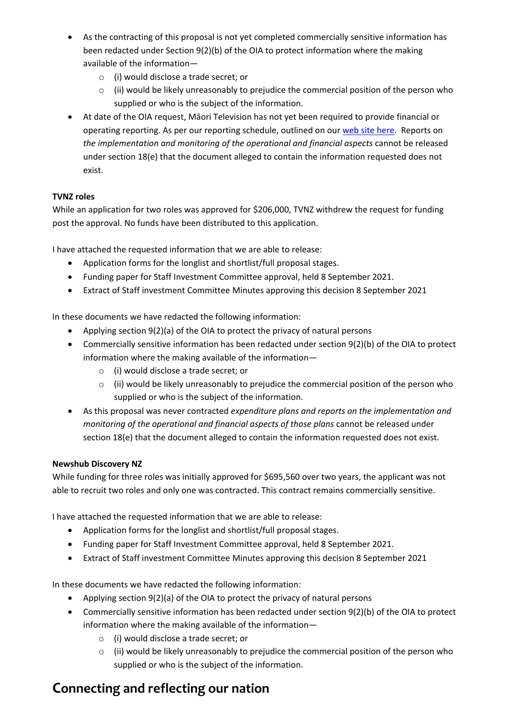- As the contracting of this proposal is not yet completed commercially sensitive information has been redacted under Section 9(2)(b) of the OIA to protect information where the making available of the information
	- o (i) would disclose a trade secret; or
	- $\circ$  (ii) would be likely unreasonably to prejudice the commercial position of the person who supplied or who is the subject of the information.
- At date of the OIA request, Māori Television has not yet been required to provide financial or operating reporting. As per our reporting schedule, outlined on our web site here. Reports on *the implementation and monitoring of the operational and financial aspects* cannot be released under section 18(e) that the document alleged to contain the information requested does not exist.

#### **TVNZ roles**

While an application for two roles was approved for \$206,000, TVNZ withdrew the request for funding post the approval. No funds have been distributed to this application.

I have attached the requested information that we are able to release:

- Application forms for the longlist and shortlist/full proposal stages.
- Funding paper for Staff Investment Committee approval, held 8 September 2021.
- Extract of Staff investment Committee Minutes approving this decision 8 September 2021

In these documents we have redacted the following information:

- Applying section 9(2)(a) of the OIA to protect the privacy of natural persons
- Commercially sensitive information has been redacted under section 9(2)(b) of the OIA to protect information where the making available of the information
	- o (i) would disclose a trade secret; or
	- $\circ$  (ii) would be likely unreasonably to prejudice the commercial position of the person who supplied or who is the subject of the information.
- As this proposal was never contracted *expenditure plans and reports on the implementation and monitoring of the operational and financial aspects of those plans* cannot be released under section 18(e) that the document alleged to contain the information requested does not exist.

#### **Newshub Discovery NZ**

While funding for three roles was initially approved for \$695,560 over two years, the applicant was not able to recruit two roles and only one was contracted. This contract remains commercially sensitive.

I have attached the requested information that we are able to release:

- Application forms for the longlist and shortlist/full proposal stages.
- Funding paper for Staff Investment Committee approval, held 8 September 2021.
- Extract of Staff investment Committee Minutes approving this decision 8 September 2021

In these documents we have redacted the following information:

- Applying section 9(2)(a) of the OIA to protect the privacy of natural persons
- Commercially sensitive information has been redacted under section 9(2)(b) of the OIA to protect information where the making available of the information
	- o (i) would disclose a trade secret; or
	- o (ii) would be likely unreasonably to prejudice the commercial position of the person who supplied or who is the subject of the information.

# **Connecting and reflecting our nation**